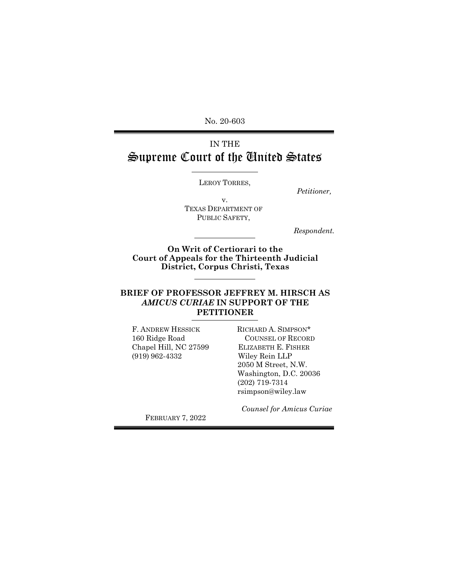No. 20-603

# IN THE Supreme Court of the United States

LEROY TORRES,

*Petitioner,* 

v. TEXAS DEPARTMENT OF PUBLIC SAFETY,

*Respondent.*

**On Writ of Certiorari to the Court of Appeals for the Thirteenth Judicial District, Corpus Christi, Texas** 

#### **BRIEF OF PROFESSOR JEFFREY M. HIRSCH AS**  *AMICUS CURIAE* **IN SUPPORT OF THE PETITIONER**

F. ANDREW HESSICK 160 Ridge Road Chapel Hill, NC 27599 (919) 962-4332

RICHARD A. SIMPSON\* COUNSEL OF RECORD ELIZABETH E. FISHER Wiley Rein LLP 2050 M Street, N.W. Washington, D.C. 20036 (202) 719-7314 rsimpson@wiley.law

 *Counsel for Amicus Curiae*

FEBRUARY 7, 2022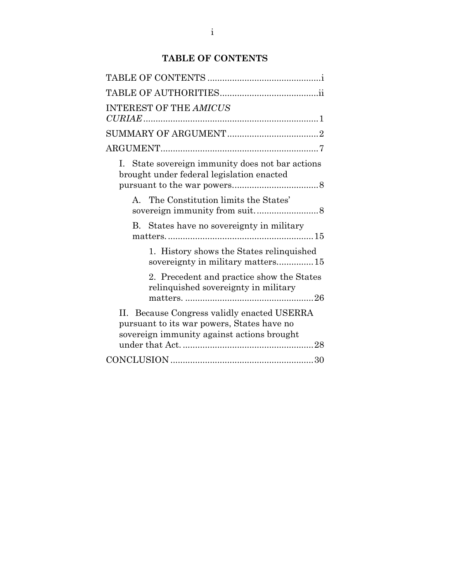## **TABLE OF CONTENTS**

| <b>INTEREST OF THE AMICUS</b>                                                                                                           |  |
|-----------------------------------------------------------------------------------------------------------------------------------------|--|
|                                                                                                                                         |  |
|                                                                                                                                         |  |
| I. State sovereign immunity does not bar actions<br>brought under federal legislation enacted                                           |  |
| A. The Constitution limits the States'                                                                                                  |  |
| B. States have no sovereignty in military                                                                                               |  |
| 1. History shows the States relinquished<br>sovereignty in military matters15                                                           |  |
| 2. Precedent and practice show the States<br>relinquished sovereignty in military                                                       |  |
| II. Because Congress validly enacted USERRA<br>pursuant to its war powers, States have no<br>sovereign immunity against actions brought |  |
|                                                                                                                                         |  |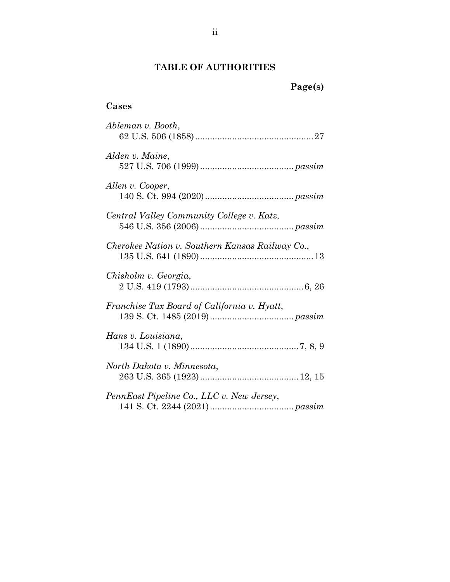## **TABLE OF AUTHORITIES**

# **Page(s)**

## **Cases**

| Ableman v. Booth,                               |
|-------------------------------------------------|
| Alden v. Maine,                                 |
| Allen v. Cooper,                                |
| Central Valley Community College v. Katz,       |
| Cherokee Nation v. Southern Kansas Railway Co., |
| Chisholm v. Georgia,                            |
| Franchise Tax Board of California v. Hyatt,     |
| Hans v. Louisiana,                              |
| North Dakota v. Minnesota,                      |
| PennEast Pipeline Co., LLC v. New Jersey,       |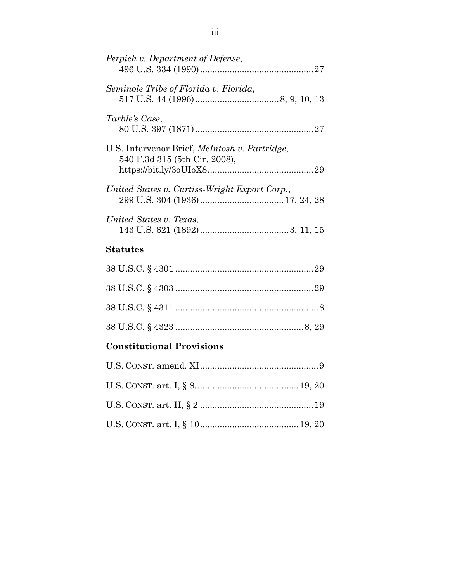| Perpich v. Department of Defense,                                                      |
|----------------------------------------------------------------------------------------|
| Seminole Tribe of Florida v. Florida,                                                  |
| Tarble's Case,                                                                         |
| U.S. Intervenor Brief, <i>McIntosh v. Partridge</i> ,<br>540 F.3d 315 (5th Cir. 2008), |
| United States v. Curtiss-Wright Export Corp.,                                          |
| United States v. Texas,                                                                |
| Statutes                                                                               |

# 38 U.S.C. § 4301 .......................................................[.29](#page-34-1) 38 U.S.C. § 4303 .......................................................[.29](#page-34-2) 38 U.S.C. § 4311 .........................................................[.8](#page-13-0) 38 U.S.C. § 4323 ...................................................[.8,](#page-34-2) 29

## **Constitutional Provisions**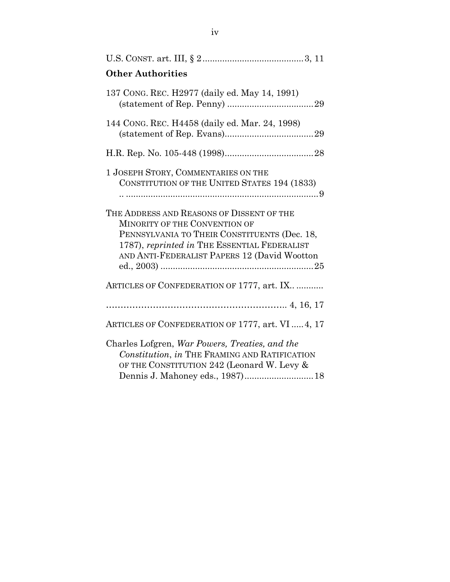| <b>Other Authorities</b>                                                                                                                                                                                                   |
|----------------------------------------------------------------------------------------------------------------------------------------------------------------------------------------------------------------------------|
| 137 CONG. REC. H2977 (daily ed. May 14, 1991)                                                                                                                                                                              |
| 144 CONG. REC. H4458 (daily ed. Mar. 24, 1998)                                                                                                                                                                             |
|                                                                                                                                                                                                                            |
| 1 JOSEPH STORY, COMMENTARIES ON THE<br>CONSTITUTION OF THE UNITED STATES 194 (1833)                                                                                                                                        |
| THE ADDRESS AND REASONS OF DISSENT OF THE<br>MINORITY OF THE CONVENTION OF<br>PENNSYLVANIA TO THEIR CONSTITUENTS (Dec. 18,<br>1787), reprinted in THE ESSENTIAL FEDERALIST<br>AND ANTI-FEDERALIST PAPERS 12 (David Wootton |
| ARTICLES OF CONFEDERATION OF 1777, art. IX                                                                                                                                                                                 |
|                                                                                                                                                                                                                            |
| ARTICLES OF CONFEDERATION OF 1777, art. VI 4, 17                                                                                                                                                                           |
| Charles Lofgren, War Powers, Treaties, and the<br>Constitution, in THE FRAMING AND RATIFICATION<br>OF THE CONSTITUTION 242 (Leonard W. Levy &<br>Dennis J. Mahoney eds., 1987) 18                                          |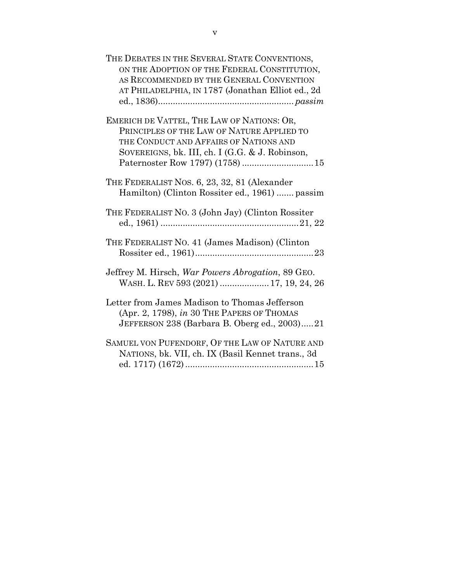| THE DEBATES IN THE SEVERAL STATE CONVENTIONS,<br>ON THE ADOPTION OF THE FEDERAL CONSTITUTION,<br>AS RECOMMENDED BY THE GENERAL CONVENTION<br>AT PHILADELPHIA, IN 1787 (Jonathan Elliot ed., 2d |
|------------------------------------------------------------------------------------------------------------------------------------------------------------------------------------------------|
| EMERICH DE VATTEL, THE LAW OF NATIONS: OR,<br>PRINCIPLES OF THE LAW OF NATURE APPLIED TO<br>THE CONDUCT AND AFFAIRS OF NATIONS AND<br>SOVEREIGNS, bk. III, ch. I (G.G. & J. Robinson,          |
| THE FEDERALIST NOS. 6, 23, 32, 81 (Alexander<br>Hamilton) (Clinton Rossiter ed., 1961)  passim                                                                                                 |
| THE FEDERALIST NO. 3 (John Jay) (Clinton Rossiter                                                                                                                                              |
| THE FEDERALIST NO. 41 (James Madison) (Clinton                                                                                                                                                 |
| Jeffrey M. Hirsch, War Powers Abrogation, 89 GEO.<br>WASH. L. REV 593 (2021)  17, 19, 24, 26                                                                                                   |
| Letter from James Madison to Thomas Jefferson<br>(Apr. 2, 1798), in 30 THE PAPERS OF THOMAS<br>JEFFERSON 238 (Barbara B. Oberg ed., 2003)21                                                    |
| SAMUEL VON PUFENDORF, OF THE LAW OF NATURE AND<br>NATIONS, bk. VII, ch. IX (Basil Kennet trans., 3d                                                                                            |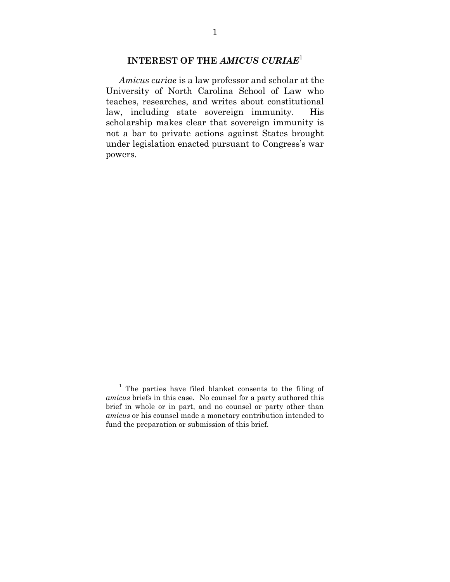## **INTEREST OF THE** *AMICUS CURIAE*<sup>1</sup>

*Amicus curiae* is a law professor and scholar at the University of North Carolina School of Law who teaches, researches, and writes about constitutional law, including state sovereign immunity. His scholarship makes clear that sovereign immunity is not a bar to private actions against States brought under legislation enacted pursuant to Congress's war powers.

<sup>&</sup>lt;sup>1</sup> The parties have filed blanket consents to the filing of *amicus* briefs in this case. No counsel for a party authored this brief in whole or in part, and no counsel or party other than *amicus* or his counsel made a monetary contribution intended to fund the preparation or submission of this brief.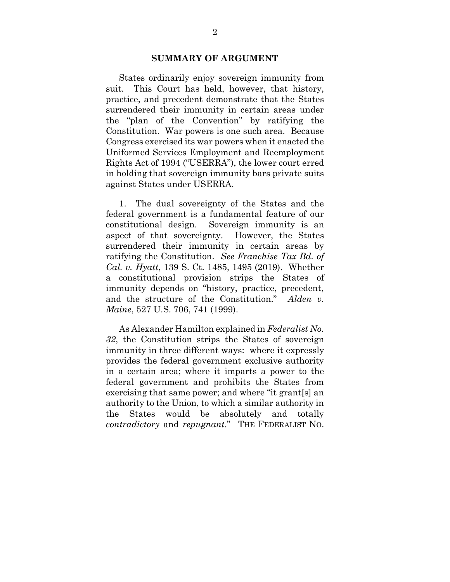#### **SUMMARY OF ARGUMENT**

States ordinarily enjoy sovereign immunity from suit. This Court has held, however, that history, practice, and precedent demonstrate that the States surrendered their immunity in certain areas under the "plan of the Convention" by ratifying the Constitution. War powers is one such area. Because Congress exercised its war powers when it enacted the Uniformed Services Employment and Reemployment Rights Act of 1994 ("USERRA"), the lower court erred in holding that sovereign immunity bars private suits against States under USERRA.

<span id="page-7-1"></span>1. The dual sovereignty of the States and the federal government is a fundamental feature of our constitutional design. Sovereign immunity is an aspect of that sovereignty. However, the States surrendered their immunity in certain areas by ratifying the Constitution. *See Franchise Tax Bd. of Cal. v. Hyatt*, 139 S. Ct. 1485, 1495 (2019). Whether a constitutional provision strips the States of immunity depends on "history, practice, precedent, and the structure of the Constitution." *Alden v. Maine*, 527 U.S. 706, 741 (1999).

<span id="page-7-0"></span>As Alexander Hamilton explained in *Federalist No. 32*, the Constitution strips the States of sovereign immunity in three different ways: where it expressly provides the federal government exclusive authority in a certain area; where it imparts a power to the federal government and prohibits the States from exercising that same power; and where "it grant[s] an authority to the Union, to which a similar authority in the States would be absolutely and totally *contradictory* and *repugnant*." THE FEDERALIST NO.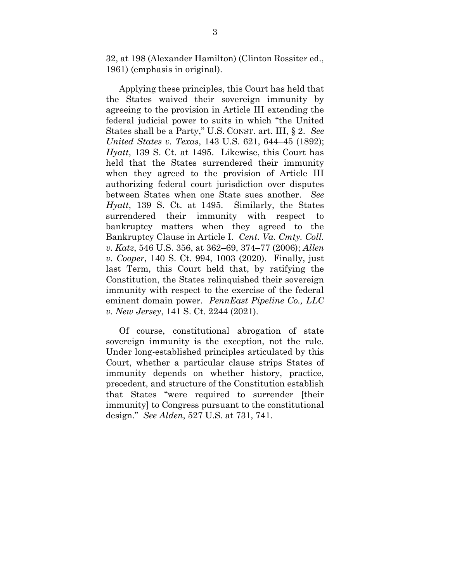32, at 198 (Alexander Hamilton) (Clinton Rossiter ed., 1961) (emphasis in original).

<span id="page-8-3"></span>Applying these principles, this Court has held that the States waived their sovereign immunity by agreeing to the provision in Article III extending the federal judicial power to suits in which "the United States shall be a Party," U.S. CONST. art. III, § 2. *See United States v. Texas*, 143 U.S. 621, 644–45 (1892); *Hyatt*, 139 S. Ct. at 1495. Likewise, this Court has held that the States surrendered their immunity when they agreed to the provision of Article III authorizing federal court jurisdiction over disputes between States when one State sues another. *See Hyatt*, 139 S. Ct. at 1495. Similarly, the States surrendered their immunity with respect to bankruptcy matters when they agreed to the Bankruptcy Clause in Article I. *Cent. Va. Cmty. Coll. v. Katz*, 546 U.S. 356, at 362–69, 374–77 (2006); *Allen v. Cooper*, 140 S. Ct. 994, 1003 (2020). Finally, just last Term, this Court held that, by ratifying the Constitution, the States relinquished their sovereign immunity with respect to the exercise of the federal eminent domain power. *PennEast Pipeline Co., LLC v. New Jersey*, 141 S. Ct. 2244 (2021).

<span id="page-8-2"></span><span id="page-8-1"></span><span id="page-8-0"></span>Of course, constitutional abrogation of state sovereign immunity is the exception, not the rule. Under long-established principles articulated by this Court, whether a particular clause strips States of immunity depends on whether history, practice, precedent, and structure of the Constitution establish that States "were required to surrender [their immunity] to Congress pursuant to the constitutional design." *See Alden*, 527 U.S. at 731, 741.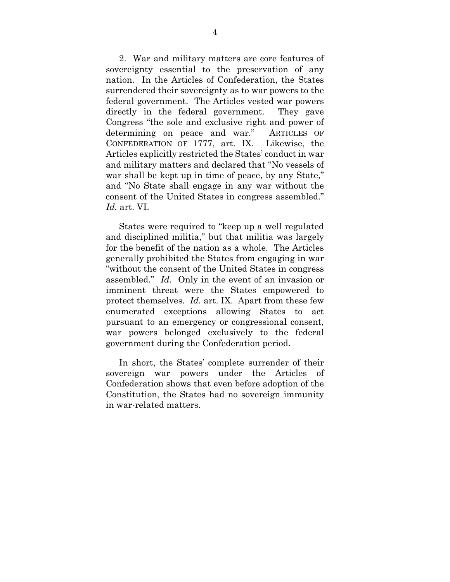2. War and military matters are core features of sovereignty essential to the preservation of any nation. In the Articles of Confederation, the States surrendered their sovereignty as to war powers to the federal government. The Articles vested war powers directly in the federal government. They gave Congress "the sole and exclusive right and power of determining on peace and war." ARTICLES OF CONFEDERATION OF 1777, art. IX. Likewise, the Articles explicitly restricted the States' conduct in war and military matters and declared that "No vessels of war shall be kept up in time of peace, by any State," and "No State shall engage in any war without the consent of the United States in congress assembled." *Id.* art. VI.

States were required to "keep up a well regulated and disciplined militia," but that militia was largely for the benefit of the nation as a whole. The Articles generally prohibited the States from engaging in war "without the consent of the United States in congress assembled." *Id.* Only in the event of an invasion or imminent threat were the States empowered to protect themselves. *Id.* art. IX. Apart from these few enumerated exceptions allowing States to act pursuant to an emergency or congressional consent, war powers belonged exclusively to the federal government during the Confederation period.

In short, the States' complete surrender of their sovereign war powers under the Articles of Confederation shows that even before adoption of the Constitution, the States had no sovereign immunity in war-related matters.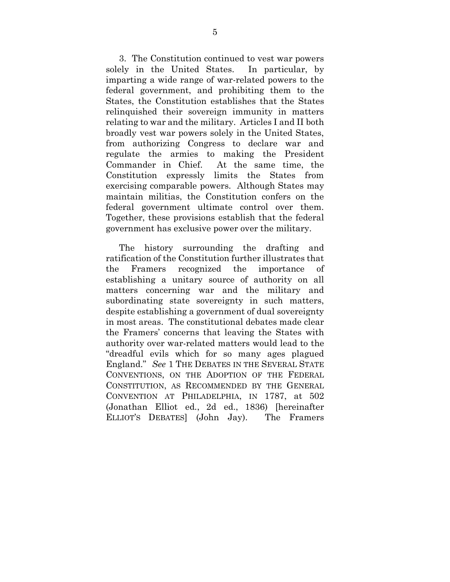3. The Constitution continued to vest war powers solely in the United States. In particular, by imparting a wide range of war-related powers to the federal government, and prohibiting them to the States, the Constitution establishes that the States relinquished their sovereign immunity in matters relating to war and the military. Articles I and II both broadly vest war powers solely in the United States, from authorizing Congress to declare war and regulate the armies to making the President Commander in Chief. At the same time, the Constitution expressly limits the States from exercising comparable powers. Although States may maintain militias, the Constitution confers on the federal government ultimate control over them. Together, these provisions establish that the federal government has exclusive power over the military.

<span id="page-10-0"></span>The history surrounding the drafting and ratification of the Constitution further illustrates that the Framers recognized the importance of establishing a unitary source of authority on all matters concerning war and the military and subordinating state sovereignty in such matters, despite establishing a government of dual sovereignty in most areas. The constitutional debates made clear the Framers' concerns that leaving the States with authority over war-related matters would lead to the "dreadful evils which for so many ages plagued England." *See* 1 THE DEBATES IN THE SEVERAL STATE CONVENTIONS, ON THE ADOPTION OF THE FEDERAL CONSTITUTION, AS RECOMMENDED BY THE GENERAL CONVENTION AT PHILADELPHIA, IN 1787, at 502 (Jonathan Elliot ed., 2d ed., 1836) [hereinafter ELLIOT'S DEBATES] (John Jay). The Framers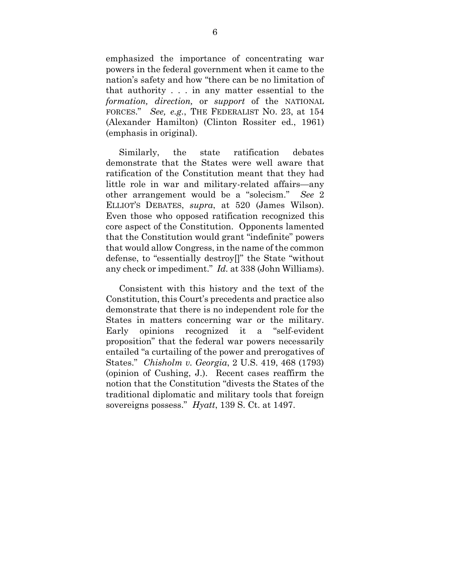emphasized the importance of concentrating war powers in the federal government when it came to the nation's safety and how "there can be no limitation of that authority . . . in any matter essential to the *formation, direction,* or *support* of the NATIONAL FORCES." *See, e.g.*, THE FEDERALIST NO. 23, at 154 (Alexander Hamilton) (Clinton Rossiter ed., 1961) (emphasis in original).

Similarly, the state ratification debates demonstrate that the States were well aware that ratification of the Constitution meant that they had little role in war and military-related affairs—any other arrangement would be a "solecism." *See* 2 ELLIOT'S DEBATES, *supra*, at 520 (James Wilson). Even those who opposed ratification recognized this core aspect of the Constitution. Opponents lamented that the Constitution would grant "indefinite" powers that would allow Congress, in the name of the common defense, to "essentially destroy[]" the State "without any check or impediment." *Id.* at 338 (John Williams).

<span id="page-11-0"></span>Consistent with this history and the text of the Constitution, this Court's precedents and practice also demonstrate that there is no independent role for the States in matters concerning war or the military. Early opinions recognized it a "self-evident proposition" that the federal war powers necessarily entailed "a curtailing of the power and prerogatives of States." *Chisholm v. Georgia*, 2 U.S. 419, 468 (1793) (opinion of Cushing, J.). Recent cases reaffirm the notion that the Constitution "divests the States of the traditional diplomatic and military tools that foreign sovereigns possess." *Hyatt*, 139 S. Ct. at 1497.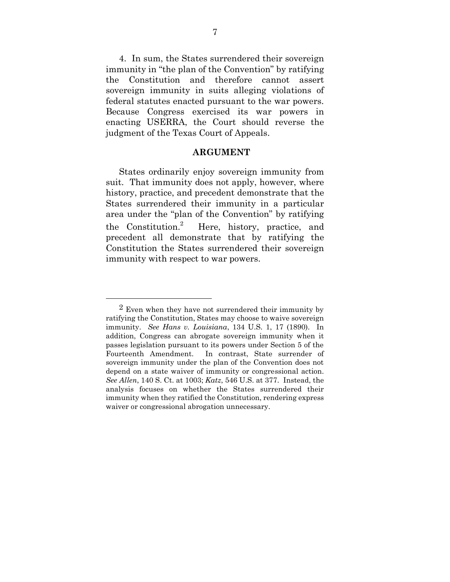4. In sum, the States surrendered their sovereign immunity in "the plan of the Convention" by ratifying the Constitution and therefore cannot assert sovereign immunity in suits alleging violations of federal statutes enacted pursuant to the war powers. Because Congress exercised its war powers in enacting USERRA, the Court should reverse the judgment of the Texas Court of Appeals.

#### **ARGUMENT**

States ordinarily enjoy sovereign immunity from suit. That immunity does not apply, however, where history, practice, and precedent demonstrate that the States surrendered their immunity in a particular area under the "plan of the Convention" by ratifying the Constitution.<sup>2</sup> Here, history, practice, and precedent all demonstrate that by ratifying the Constitution the States surrendered their sovereign immunity with respect to war powers.

<sup>&</sup>lt;sup>2</sup> Even when they have not surrendered their immunity by ratifying the Constitution, States may choose to waive sovereign immunity. *See Hans v. Louisiana*, 134 U.S. 1, 17 (1890)*.* In addition, Congress can abrogate sovereign immunity when it passes legislation pursuant to its powers under Section 5 of the Fourteenth Amendment. In contrast, State surrender of sovereign immunity under the plan of the Convention does not depend on a state waiver of immunity or congressional action. *See Allen*, 140 S. Ct. at 1003; *Katz*, 546 U.S. at 377. Instead, the analysis focuses on whether the States surrendered their immunity when they ratified the Constitution, rendering express waiver or congressional abrogation unnecessary.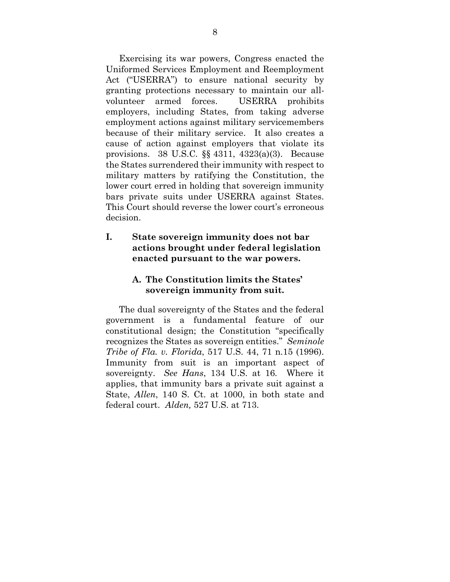Exercising its war powers, Congress enacted the Uniformed Services Employment and Reemployment Act ("USERRA") to ensure national security by granting protections necessary to maintain our allvolunteer armed forces. USERRA prohibits employers, including States, from taking adverse employment actions against military servicemembers because of their military service. It also creates a cause of action against employers that violate its provisions. 38 U.S.C. §§ 4311, 4323(a)(3). Because the States surrendered their immunity with respect to military matters by ratifying the Constitution, the lower court erred in holding that sovereign immunity bars private suits under USERRA against States. This Court should reverse the lower court's erroneous decision.

## <span id="page-13-0"></span>**I. State sovereign immunity does not bar actions brought under federal legislation enacted pursuant to the war powers.**

## **A. The Constitution limits the States' sovereign immunity from suit.**

The dual sovereignty of the States and the federal government is a fundamental feature of our constitutional design; the Constitution "specifically recognizes the States as sovereign entities." *Seminole Tribe of Fla. v. Florida*, 517 U.S. 44, 71 n.15 (1996). Immunity from suit is an important aspect of sovereignty. *See Hans*, 134 U.S. at 16*.* Where it applies, that immunity bars a private suit against a State, *Allen*, 140 S. Ct. at 1000, in both state and federal court. *Alden,* 527 U.S. at 713.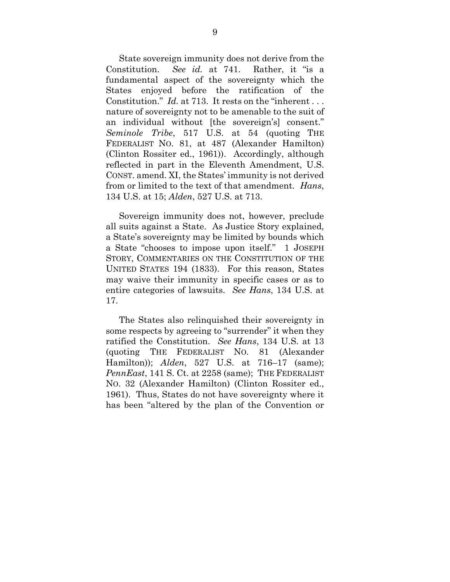State sovereign immunity does not derive from the Constitution. *See id.* at 741. Rather, it "is a fundamental aspect of the sovereignty which the States enjoyed before the ratification of the Constitution." *Id.* at 713. It rests on the "inherent . . . nature of sovereignty not to be amenable to the suit of an individual without [the sovereign's] consent." *Seminole Tribe*, 517 U.S. at 54 (quoting THE FEDERALIST NO. 81, at 487 (Alexander Hamilton) (Clinton Rossiter ed., 1961)). Accordingly, although reflected in part in the Eleventh Amendment, U.S. CONST. amend. XI, the States' immunity is not derived from or limited to the text of that amendment. *Hans*, 134 U.S. at 15; *Alden*, 527 U.S. at 713.

<span id="page-14-1"></span><span id="page-14-0"></span>Sovereign immunity does not, however, preclude all suits against a State. As Justice Story explained, a State's sovereignty may be limited by bounds which a State "chooses to impose upon itself." 1 JOSEPH STORY, COMMENTARIES ON THE CONSTITUTION OF THE UNITED STATES 194 (1833). For this reason, States may waive their immunity in specific cases or as to entire categories of lawsuits. *See Hans*, 134 U.S. at 17.

<span id="page-14-2"></span>The States also relinquished their sovereignty in some respects by agreeing to "surrender" it when they ratified the Constitution. *See Hans*, 134 U.S. at 13 (quoting THE FEDERALIST NO. 81 (Alexander Hamilton)); *Alden*, 527 U.S. at 716–17 (same); *PennEast*, 141 S. Ct. at 2258 (same); THE FEDERALIST NO. 32 (Alexander Hamilton) (Clinton Rossiter ed., 1961). Thus, States do not have sovereignty where it has been "altered by the plan of the Convention or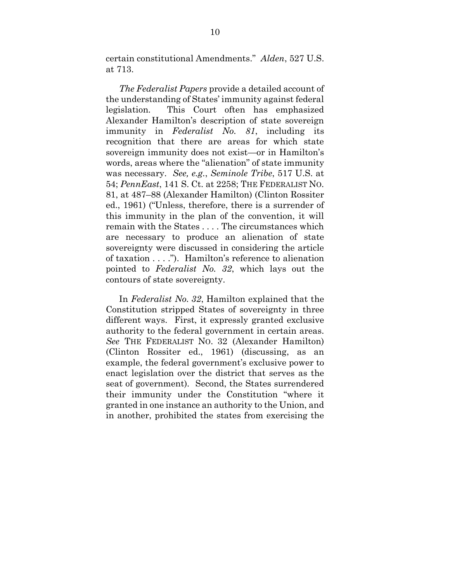certain constitutional Amendments." *Alden*, 527 U.S. at 713.

*The Federalist Papers* provide a detailed account of the understanding of States' immunity against federal legislation. This Court often has emphasized Alexander Hamilton's description of state sovereign immunity in *Federalist No. 81*, including its recognition that there are areas for which state sovereign immunity does not exist—or in Hamilton's words, areas where the "alienation" of state immunity was necessary. *See, e.g.*, *Seminole Tribe*, 517 U.S. at 54; *PennEast*, 141 S. Ct. at 2258; THE FEDERALIST NO. 81, at 487–88 (Alexander Hamilton) (Clinton Rossiter ed., 1961) ("Unless, therefore, there is a surrender of this immunity in the plan of the convention, it will remain with the States . . . . The circumstances which are necessary to produce an alienation of state sovereignty were discussed in considering the article of taxation . . . ."). Hamilton's reference to alienation pointed to *Federalist No. 32*, which lays out the contours of state sovereignty.

In *Federalist No. 32*, Hamilton explained that the Constitution stripped States of sovereignty in three different ways. First, it expressly granted exclusive authority to the federal government in certain areas. *See* THE FEDERALIST NO. 32 (Alexander Hamilton) (Clinton Rossiter ed., 1961) (discussing, as an example, the federal government's exclusive power to enact legislation over the district that serves as the seat of government)*.* Second, the States surrendered their immunity under the Constitution "where it granted in one instance an authority to the Union, and in another, prohibited the states from exercising the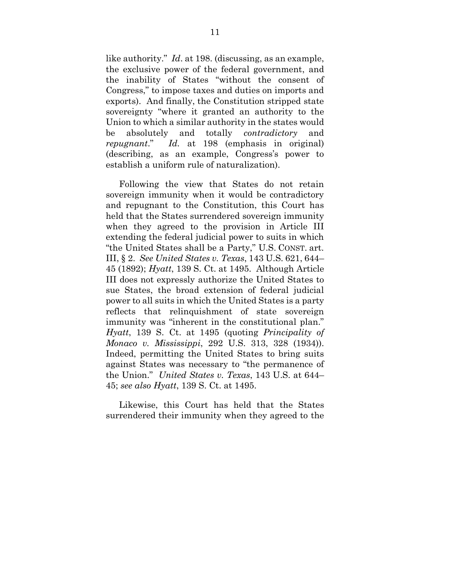like authority." *Id*. at 198. (discussing, as an example, the exclusive power of the federal government, and the inability of States "without the consent of Congress," to impose taxes and duties on imports and exports).And finally, the Constitution stripped state sovereignty "where it granted an authority to the Union to which a similar authority in the states would be absolutely and totally *contradictory* and *repugnant*." *Id.* at 198 (emphasis in original) (describing, as an example, Congress's power to establish a uniform rule of naturalization).

<span id="page-16-0"></span>Following the view that States do not retain sovereign immunity when it would be contradictory and repugnant to the Constitution, this Court has held that the States surrendered sovereign immunity when they agreed to the provision in Article III extending the federal judicial power to suits in which "the United States shall be a Party," U.S. CONST. art. III, § 2. *See United States v. Texas*, 143 U.S. 621, 644– 45 (1892); *Hyatt*, 139 S. Ct. at 1495. Although Article III does not expressly authorize the United States to sue States, the broad extension of federal judicial power to all suits in which the United States is a party reflects that relinquishment of state sovereign immunity was "inherent in the constitutional plan." *Hyatt*, 139 S. Ct. at 1495 (quoting *Principality of Monaco v. Mississippi*, 292 U.S. 313, 328 (1934)). Indeed, permitting the United States to bring suits against States was necessary to "the permanence of the Union." *United States v. Texas*, 143 U.S. at 644– 45; *see also Hyatt*, 139 S. Ct. at 1495.

Likewise, this Court has held that the States surrendered their immunity when they agreed to the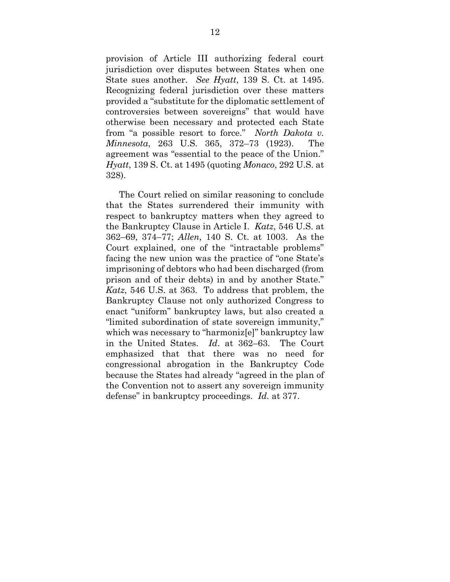provision of Article III authorizing federal court jurisdiction over disputes between States when one State sues another. *See Hyatt*, 139 S. Ct. at 1495. Recognizing federal jurisdiction over these matters provided a "substitute for the diplomatic settlement of controversies between sovereigns" that would have otherwise been necessary and protected each State from "a possible resort to force." *North Dakota v. Minnesota*, 263 U.S. 365, 372–73 (1923). The agreement was "essential to the peace of the Union." *Hyatt*, 139 S. Ct. at 1495 (quoting *Monaco*, 292 U.S. at 328).

The Court relied on similar reasoning to conclude that the States surrendered their immunity with respect to bankruptcy matters when they agreed to the Bankruptcy Clause in Article I. *Katz*, 546 U.S. at 362–69, 374–77; *Allen*, 140 S. Ct. at 1003. As the Court explained, one of the "intractable problems" facing the new union was the practice of "one State's imprisoning of debtors who had been discharged (from prison and of their debts) in and by another State." *Katz*, 546 U.S. at 363. To address that problem, the Bankruptcy Clause not only authorized Congress to enact "uniform" bankruptcy laws, but also created a "limited subordination of state sovereign immunity," which was necessary to "harmoniz[e]" bankruptcy law in the United States. *Id*. at 362–63. The Court emphasized that that there was no need for congressional abrogation in the Bankruptcy Code because the States had already "agreed in the plan of the Convention not to assert any sovereign immunity defense" in bankruptcy proceedings. *Id.* at 377.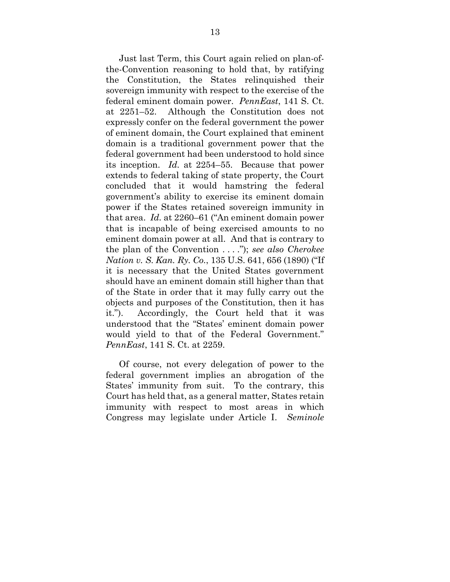Just last Term, this Court again relied on plan-ofthe-Convention reasoning to hold that, by ratifying the Constitution, the States relinquished their sovereign immunity with respect to the exercise of the federal eminent domain power. *PennEast*, 141 S. Ct. at 2251–52. Although the Constitution does not expressly confer on the federal government the power of eminent domain, the Court explained that eminent domain is a traditional government power that the federal government had been understood to hold since its inception. *Id.* at 2254–55. Because that power extends to federal taking of state property, the Court concluded that it would hamstring the federal government's ability to exercise its eminent domain power if the States retained sovereign immunity in that area. *Id.* at 2260–61 ("An eminent domain power that is incapable of being exercised amounts to no eminent domain power at all. And that is contrary to the plan of the Convention . . . ."); *see also Cherokee Nation v. S. Kan. Ry. Co.*, 135 U.S. 641, 656 (1890) ("If it is necessary that the United States government should have an eminent domain still higher than that of the State in order that it may fully carry out the objects and purposes of the Constitution, then it has it."). Accordingly, the Court held that it was understood that the "States' eminent domain power would yield to that of the Federal Government." *PennEast*, 141 S. Ct. at 2259.

<span id="page-18-0"></span>Of course, not every delegation of power to the federal government implies an abrogation of the States' immunity from suit. To the contrary, this Court has held that, as a general matter, States retain immunity with respect to most areas in which Congress may legislate under Article I. *Seminole*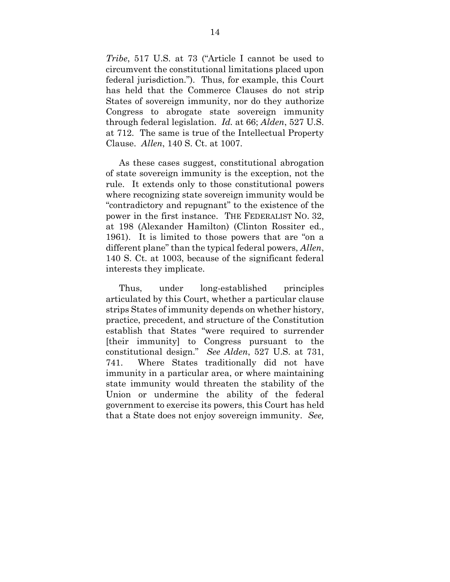*Tribe*, 517 U.S. at 73 ("Article I cannot be used to circumvent the constitutional limitations placed upon federal jurisdiction."). Thus, for example, this Court has held that the Commerce Clauses do not strip States of sovereign immunity, nor do they authorize Congress to abrogate state sovereign immunity through federal legislation. *Id.* at 66; *Alden*, 527 U.S. at 712. The same is true of the Intellectual Property Clause. *Allen*, 140 S. Ct. at 1007.

As these cases suggest, constitutional abrogation of state sovereign immunity is the exception, not the rule. It extends only to those constitutional powers where recognizing state sovereign immunity would be "contradictory and repugnant" to the existence of the power in the first instance. THE FEDERALIST NO. 32, at 198 (Alexander Hamilton) (Clinton Rossiter ed., 1961). It is limited to those powers that are "on a different plane" than the typical federal powers, *Allen*, 140 S. Ct. at 1003, because of the significant federal interests they implicate.

Thus, under long-established principles articulated by this Court, whether a particular clause strips States of immunity depends on whether history, practice, precedent, and structure of the Constitution establish that States "were required to surrender [their immunity] to Congress pursuant to the constitutional design." *See Alden*, 527 U.S. at 731, 741. Where States traditionally did not have immunity in a particular area, or where maintaining state immunity would threaten the stability of the Union or undermine the ability of the federal government to exercise its powers, this Court has held that a State does not enjoy sovereign immunity. *See,*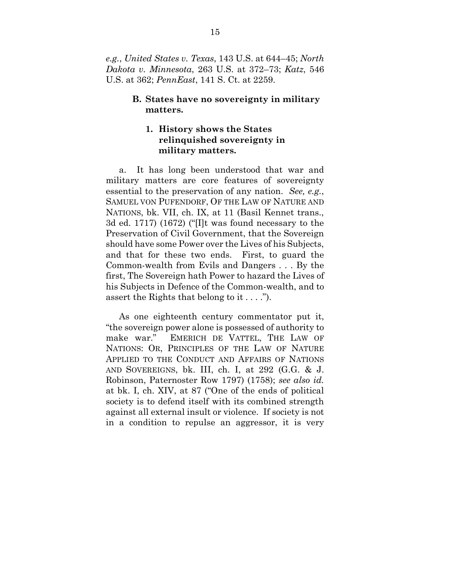*e.g.*, *United States v. Texas*, 143 U.S. at 644–45; *North Dakota v. Minnesota*, 263 U.S. at 372–73; *Katz*, 546 U.S. at 362; *PennEast*, 141 S. Ct. at 2259.

#### **B. States have no sovereignty in military matters.**

## **1. History shows the States relinquished sovereignty in military matters.**

<span id="page-20-1"></span>a. It has long been understood that war and military matters are core features of sovereignty essential to the preservation of any nation. *See, e.g.*, SAMUEL VON PUFENDORF, OF THE LAW OF NATURE AND NATIONS, bk. VII, ch. IX, at 11 (Basil Kennet trans., 3d ed. 1717) (1672) ("[I]t was found necessary to the Preservation of Civil Government, that the Sovereign should have some Power over the Lives of his Subjects, and that for these two ends. First, to guard the Common-wealth from Evils and Dangers . . . By the first, The Sovereign hath Power to hazard the Lives of his Subjects in Defence of the Common-wealth, and to assert the Rights that belong to it . . . .").

<span id="page-20-0"></span>As one eighteenth century commentator put it, "the sovereign power alone is possessed of authority to make war." EMERICH DE VATTEL, THE LAW OF NATIONS: OR, PRINCIPLES OF THE LAW OF NATURE APPLIED TO THE CONDUCT AND AFFAIRS OF NATIONS AND SOVEREIGNS, bk. III, ch. I, at 292 (G.G. & J. Robinson, Paternoster Row 1797) (1758); *see also id.* at bk. I, ch. XIV, at 87 ("One of the ends of political society is to defend itself with its combined strength against all external insult or violence. If society is not in a condition to repulse an aggressor, it is very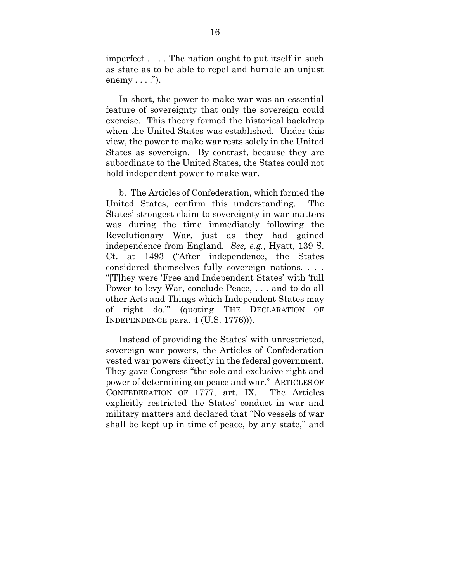imperfect . . . . The nation ought to put itself in such as state as to be able to repel and humble an unjust enemy  $\dots$ ").

In short, the power to make war was an essential feature of sovereignty that only the sovereign could exercise. This theory formed the historical backdrop when the United States was established. Under this view, the power to make war rests solely in the United States as sovereign. By contrast, because they are subordinate to the United States, the States could not hold independent power to make war.

b. The Articles of Confederation, which formed the United States, confirm this understanding. The States' strongest claim to sovereignty in war matters was during the time immediately following the Revolutionary War, just as they had gained independence from England. *See, e.g.*, Hyatt, 139 S. Ct. at 1493 ("After independence, the States considered themselves fully sovereign nations. . . . "[T]hey were 'Free and Independent States' with 'full Power to levy War, conclude Peace, . . . and to do all other Acts and Things which Independent States may of right do.'" (quoting THE DECLARATION OF INDEPENDENCE para. 4 (U.S. 1776))).

Instead of providing the States' with unrestricted, sovereign war powers, the Articles of Confederation vested war powers directly in the federal government. They gave Congress "the sole and exclusive right and power of determining on peace and war." ARTICLES OF CONFEDERATION OF 1777, art. IX. The Articles explicitly restricted the States' conduct in war and military matters and declared that "No vessels of war shall be kept up in time of peace, by any state," and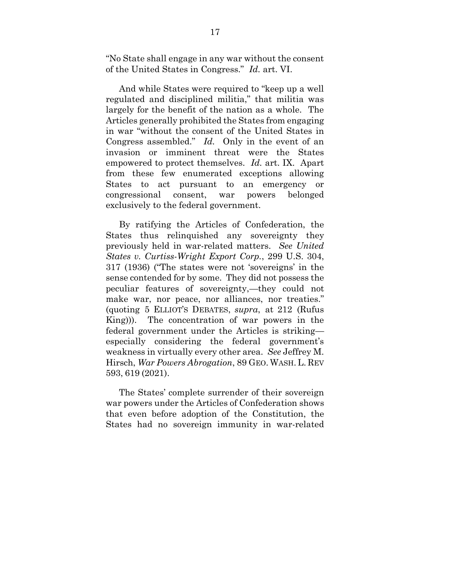"No State shall engage in any war without the consent of the United States in Congress." *Id.* art. VI.

And while States were required to "keep up a well regulated and disciplined militia," that militia was largely for the benefit of the nation as a whole. The Articles generally prohibited the States from engaging in war "without the consent of the United States in Congress assembled." *Id.* Only in the event of an invasion or imminent threat were the States empowered to protect themselves. *Id.* art. IX. Apart from these few enumerated exceptions allowing States to act pursuant to an emergency or congressional consent, war powers belonged exclusively to the federal government.

<span id="page-22-0"></span>By ratifying the Articles of Confederation, the States thus relinquished any sovereignty they previously held in war-related matters. *See United States v. Curtiss-Wright Export Corp.*, 299 U.S. 304, 317 (1936) ("The states were not 'sovereigns' in the sense contended for by some. They did not possess the peculiar features of sovereignty,—they could not make war, nor peace, nor alliances, nor treaties." (quoting 5 ELLIOT'S DEBATES, *supra*, at 212 (Rufus King))). The concentration of war powers in the federal government under the Articles is striking especially considering the federal government's weakness in virtually every other area. *See* Jeffrey M. Hirsch, *War Powers Abrogation*, 89 GEO. WASH. L. REV 593, 619 (2021).

<span id="page-22-1"></span>The States' complete surrender of their sovereign war powers under the Articles of Confederation shows that even before adoption of the Constitution, the States had no sovereign immunity in war-related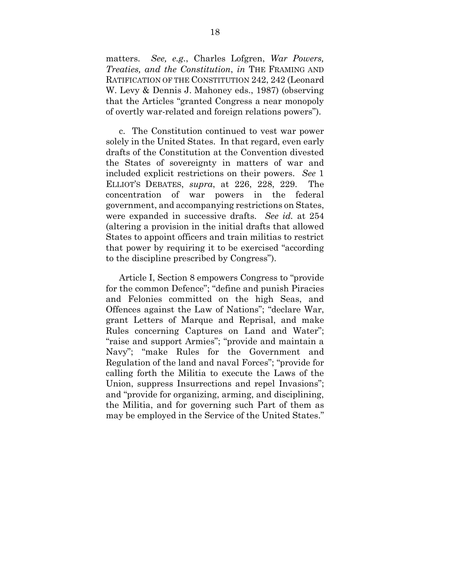<span id="page-23-0"></span>matters. *See, e.g.*, Charles Lofgren, *War Powers, Treaties, and the Constitution*, *in* THE FRAMING AND RATIFICATION OF THE CONSTITUTION 242, 242 (Leonard W. Levy & Dennis J. Mahoney eds., 1987) (observing that the Articles "granted Congress a near monopoly of overtly war-related and foreign relations powers").

c. The Constitution continued to vest war power solely in the United States. In that regard, even early drafts of the Constitution at the Convention divested the States of sovereignty in matters of war and included explicit restrictions on their powers. *See* 1 ELLIOT'S DEBATES, *supra*, at 226, 228, 229. The concentration of war powers in the federal government, and accompanying restrictions on States, were expanded in successive drafts. *See id.* at 254 (altering a provision in the initial drafts that allowed States to appoint officers and train militias to restrict that power by requiring it to be exercised "according to the discipline prescribed by Congress").

Article I, Section 8 empowers Congress to "provide for the common Defence"; "define and punish Piracies and Felonies committed on the high Seas, and Offences against the Law of Nations"; "declare War, grant Letters of Marque and Reprisal, and make Rules concerning Captures on Land and Water"; "raise and support Armies"; "provide and maintain a Navy"; "make Rules for the Government and Regulation of the land and naval Forces"; "provide for calling forth the Militia to execute the Laws of the Union, suppress Insurrections and repel Invasions"; and "provide for organizing, arming, and disciplining, the Militia, and for governing such Part of them as may be employed in the Service of the United States."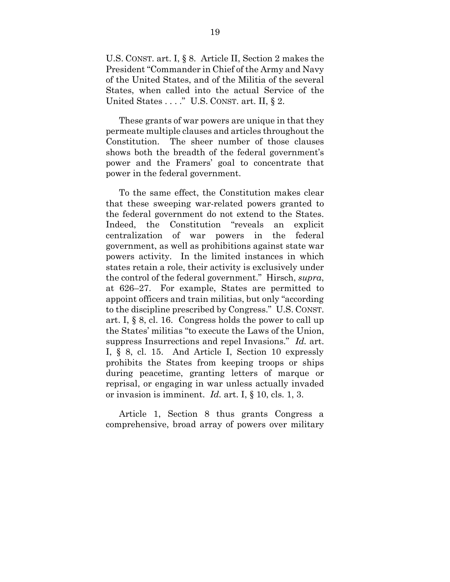U.S. CONST. art. I, § 8. Article II, Section 2 makes the President "Commander in Chief of the Army and Navy of the United States, and of the Militia of the several States, when called into the actual Service of the United States . . . ." U.S. CONST. art. II, § 2.

These grants of war powers are unique in that they permeate multiple clauses and articles throughout the Constitution. The sheer number of those clauses shows both the breadth of the federal government's power and the Framers' goal to concentrate that power in the federal government.

To the same effect, the Constitution makes clear that these sweeping war-related powers granted to the federal government do not extend to the States. Indeed, the Constitution "reveals an explicit centralization of war powers in the federal government, as well as prohibitions against state war powers activity. In the limited instances in which states retain a role, their activity is exclusively under the control of the federal government." Hirsch, *supra*, at 626–27. For example, States are permitted to appoint officers and train militias, but only "according to the discipline prescribed by Congress." U.S. CONST. art. I, § 8, cl. 16. Congress holds the power to call up the States' militias "to execute the Laws of the Union, suppress Insurrections and repel Invasions." *Id.* art. I, § 8, cl. 15. And Article I, Section 10 expressly prohibits the States from keeping troops or ships during peacetime, granting letters of marque or reprisal, or engaging in war unless actually invaded or invasion is imminent. *Id.* art. I, § 10, cls. 1, 3.

<span id="page-24-0"></span>Article 1, Section 8 thus grants Congress a comprehensive, broad array of powers over military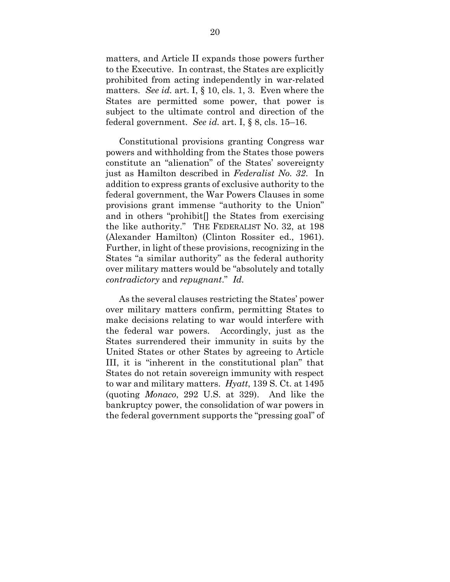matters, and Article II expands those powers further to the Executive. In contrast, the States are explicitly prohibited from acting independently in war-related matters. *See id.* art. I, § 10, cls. 1, 3. Even where the States are permitted some power, that power is subject to the ultimate control and direction of the federal government. *See id.* art. I, § 8, cls. 15–16.

<span id="page-25-0"></span>Constitutional provisions granting Congress war powers and withholding from the States those powers constitute an "alienation" of the States' sovereignty just as Hamilton described in *Federalist No. 32*. In addition to express grants of exclusive authority to the federal government, the War Powers Clauses in some provisions grant immense "authority to the Union" and in others "prohibit[] the States from exercising the like authority." THE FEDERALIST NO. 32, at 198 (Alexander Hamilton) (Clinton Rossiter ed., 1961). Further, in light of these provisions, recognizing in the States "a similar authority" as the federal authority over military matters would be "absolutely and totally *contradictory* and *repugnant*." *Id.*

As the several clauses restricting the States' power over military matters confirm, permitting States to make decisions relating to war would interfere with the federal war powers. Accordingly, just as the States surrendered their immunity in suits by the United States or other States by agreeing to Article III, it is "inherent in the constitutional plan" that States do not retain sovereign immunity with respect to war and military matters. *Hyatt*, 139 S. Ct. at 1495 (quoting *Monaco*, 292 U.S. at 329). And like the bankruptcy power, the consolidation of war powers in the federal government supports the "pressing goal" of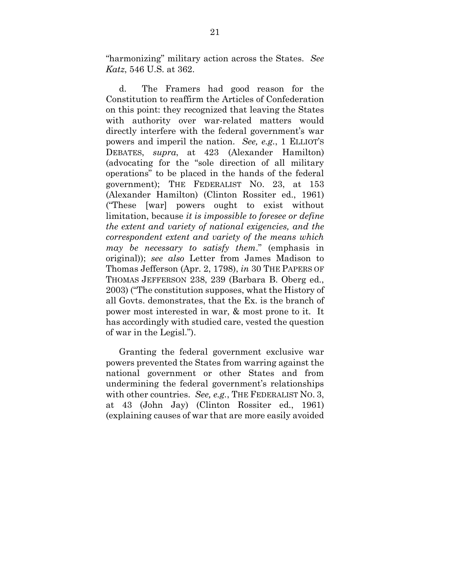"harmonizing" military action across the States. *See Katz*, 546 U.S. at 362.

d. The Framers had good reason for the Constitution to reaffirm the Articles of Confederation on this point: they recognized that leaving the States with authority over war-related matters would directly interfere with the federal government's war powers and imperil the nation. *See, e.g.*, 1 ELLIOT'S DEBATES, *supra*, at 423 (Alexander Hamilton) (advocating for the "sole direction of all military operations" to be placed in the hands of the federal government); THE FEDERALIST NO. 23, at 153 (Alexander Hamilton) (Clinton Rossiter ed., 1961) ("These [war] powers ought to exist without limitation, because *it is impossible to foresee or define the extent and variety of national exigencies, and the correspondent extent and variety of the means which may be necessary to satisfy them*." (emphasis in original)); *see also* Letter from James Madison to Thomas Jefferson (Apr. 2, 1798), *in* 30 THE PAPERS OF THOMAS JEFFERSON 238, 239 (Barbara B. Oberg ed., 2003) ("The constitution supposes, what the History of all Govts. demonstrates, that the Ex. is the branch of power most interested in war, & most prone to it. It has accordingly with studied care, vested the question of war in the Legisl.").

<span id="page-26-0"></span>Granting the federal government exclusive war powers prevented the States from warring against the national government or other States and from undermining the federal government's relationships with other countries. *See, e.g.*, THE FEDERALIST NO. 3, at 43 (John Jay) (Clinton Rossiter ed., 1961) (explaining causes of war that are more easily avoided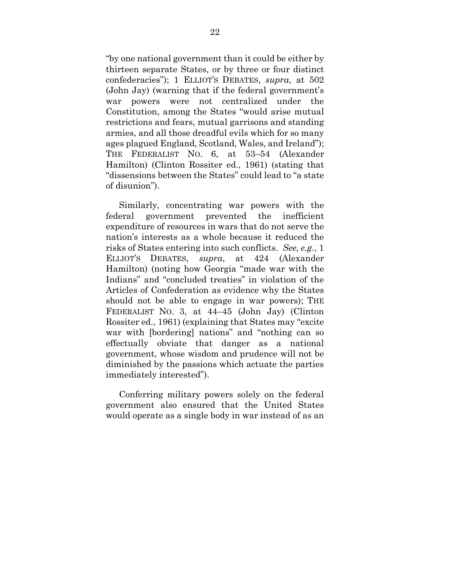"by one national government than it could be either by thirteen separate States, or by three or four distinct confederacies"); 1 ELLIOT'S DEBATES, *supra*, at 502 (John Jay) (warning that if the federal government's war powers were not centralized under the Constitution, among the States "would arise mutual restrictions and fears, mutual garrisons and standing armies, and all those dreadful evils which for so many ages plagued England, Scotland, Wales, and Ireland"); THE FEDERALIST NO. 6, at 53–54 (Alexander Hamilton) (Clinton Rossiter ed., 1961) (stating that "dissensions between the States" could lead to "a state of disunion").

<span id="page-27-0"></span>Similarly, concentrating war powers with the federal government prevented the inefficient expenditure of resources in wars that do not serve the nation's interests as a whole because it reduced the risks of States entering into such conflicts. *See, e.g.*, 1 ELLIOT'S DEBATES, *supra*, at 424 (Alexander Hamilton) (noting how Georgia "made war with the Indians" and "concluded treaties" in violation of the Articles of Confederation as evidence why the States should not be able to engage in war powers); THE FEDERALIST NO. 3, at 44–45 (John Jay) (Clinton Rossiter ed., 1961) (explaining that States may "excite war with [bordering] nations" and "nothing can so effectually obviate that danger as a national government, whose wisdom and prudence will not be diminished by the passions which actuate the parties immediately interested").

Conferring military powers solely on the federal government also ensured that the United States would operate as a single body in war instead of as an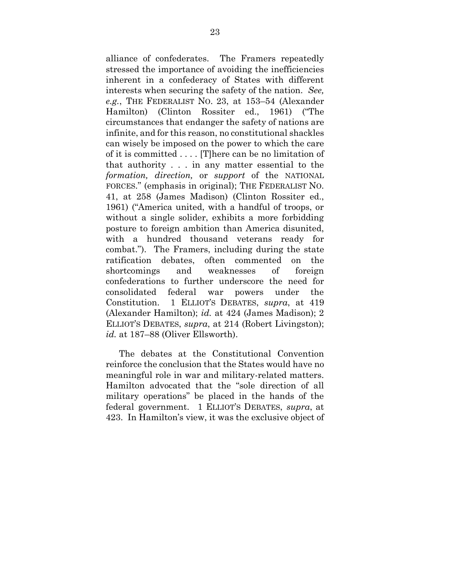alliance of confederates. The Framers repeatedly stressed the importance of avoiding the inefficiencies inherent in a confederacy of States with different interests when securing the safety of the nation. *See, e.g.*, THE FEDERALIST NO. 23, at 153–54 (Alexander Hamilton) (Clinton Rossiter ed., 1961) ("The circumstances that endanger the safety of nations are infinite, and for this reason, no constitutional shackles can wisely be imposed on the power to which the care of it is committed . . . . [T]here can be no limitation of that authority . . . in any matter essential to the *formation, direction,* or *support* of the NATIONAL FORCES." (emphasis in original); THE FEDERALIST NO. 41, at 258 (James Madison) (Clinton Rossiter ed., 1961) ("America united, with a handful of troops, or without a single solider, exhibits a more forbidding posture to foreign ambition than America disunited, with a hundred thousand veterans ready for combat."). The Framers, including during the state ratification debates, often commented on the shortcomings and weaknesses of foreign confederations to further underscore the need for consolidated federal war powers under the Constitution. 1 ELLIOT'S DEBATES, *supra*, at 419 (Alexander Hamilton); *id.* at 424 (James Madison); 2 ELLIOT'S DEBATES, *supra*, at 214 (Robert Livingston); *id.* at 187–88 (Oliver Ellsworth).

The debates at the Constitutional Convention reinforce the conclusion that the States would have no meaningful role in war and military-related matters. Hamilton advocated that the "sole direction of all military operations" be placed in the hands of the federal government. 1 ELLIOT'S DEBATES, *supra*, at 423. In Hamilton's view, it was the exclusive object of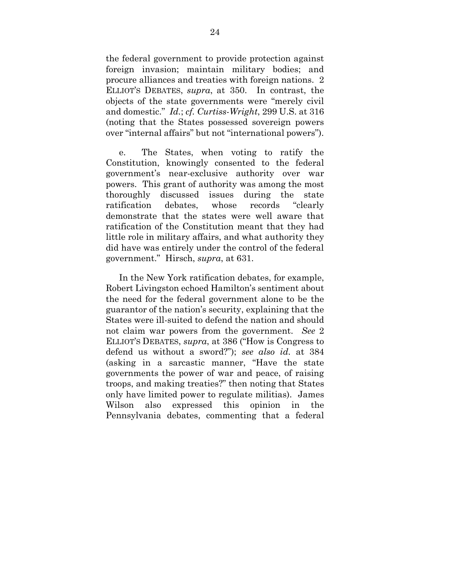the federal government to provide protection against foreign invasion; maintain military bodies; and procure alliances and treaties with foreign nations. 2 ELLIOT'S DEBATES, *supra*, at 350. In contrast, the objects of the state governments were "merely civil and domestic." *Id.*; *cf. Curtiss-Wright*, 299 U.S. at 316 (noting that the States possessed sovereign powers over "internal affairs" but not "international powers").

<span id="page-29-0"></span>e. The States, when voting to ratify the Constitution, knowingly consented to the federal government's near-exclusive authority over war powers. This grant of authority was among the most thoroughly discussed issues during the state ratification debates, whose records "clearly demonstrate that the states were well aware that ratification of the Constitution meant that they had little role in military affairs, and what authority they did have was entirely under the control of the federal government." Hirsch, *supra*, at 631.

In the New York ratification debates, for example, Robert Livingston echoed Hamilton's sentiment about the need for the federal government alone to be the guarantor of the nation's security, explaining that the States were ill-suited to defend the nation and should not claim war powers from the government. *See* 2 ELLIOT'S DEBATES, *supra*, at 386 ("How is Congress to defend us without a sword?"); *see also id.* at 384 (asking in a sarcastic manner, "Have the state governments the power of war and peace, of raising troops, and making treaties?" then noting that States only have limited power to regulate militias). James Wilson also expressed this opinion in the Pennsylvania debates, commenting that a federal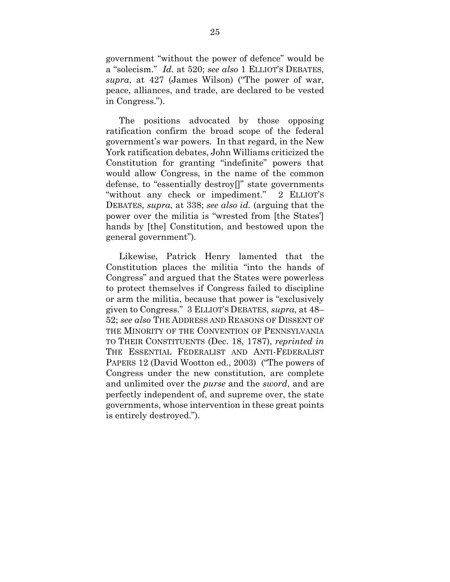government "without the power of defence" would be a "solecism." *Id.* at 520; *see also* 1 ELLIOT'S DEBATES, *supra*, at 427 (James Wilson) ("The power of war, peace, alliances, and trade, are declared to be vested in Congress.").

The positions advocated by those opposing ratification confirm the broad scope of the federal government's war powers. In that regard, in the New York ratification debates, John Williams criticized the Constitution for granting "indefinite" powers that would allow Congress, in the name of the common defense, to "essentially destroy[]" state governments "without any check or impediment." 2 ELLIOT'S DEBATES, *supra*, at 338; *see also id.* (arguing that the power over the militia is "wrested from [the States'] hands by [the] Constitution, and bestowed upon the general government").

<span id="page-30-0"></span>Likewise, Patrick Henry lamented that the Constitution places the militia "into the hands of Congress" and argued that the States were powerless to protect themselves if Congress failed to discipline or arm the militia, because that power is "exclusively given to Congress." 3 ELLIOT'S DEBATES, *supra*, at 48– 52; *see also* THE ADDRESS AND REASONS OF DISSENT OF THE MINORITY OF THE CONVENTION OF PENNSYLVANIA TO THEIR CONSTITUENTS (Dec. 18, 1787), *reprinted in*  THE ESSENTIAL FEDERALIST AND ANTI-FEDERALIST PAPERS 12 (David Wootton ed., 2003) ("The powers of Congress under the new constitution, are complete and unlimited over the *purse* and the *sword*, and are perfectly independent of, and supreme over, the state governments, whose intervention in these great points is entirely destroyed.").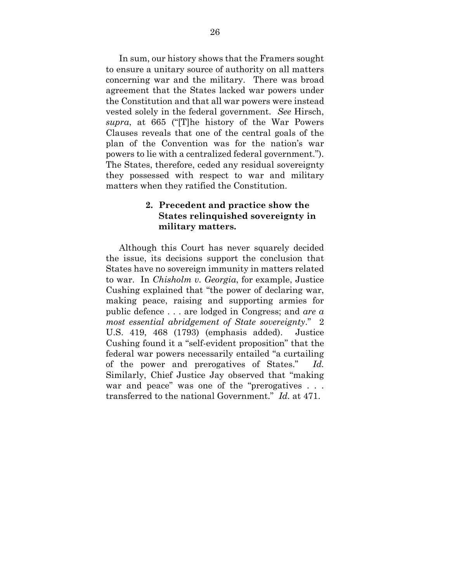In sum, our history shows that the Framers sought to ensure a unitary source of authority on all matters concerning war and the military. There was broad agreement that the States lacked war powers under the Constitution and that all war powers were instead vested solely in the federal government. *See* Hirsch, *supra*, at 665 ("[T]he history of the War Powers Clauses reveals that one of the central goals of the plan of the Convention was for the nation's war powers to lie with a centralized federal government."). The States, therefore, ceded any residual sovereignty they possessed with respect to war and military matters when they ratified the Constitution.

## <span id="page-31-0"></span>**2. Precedent and practice show the States relinquished sovereignty in military matters.**

Although this Court has never squarely decided the issue, its decisions support the conclusion that States have no sovereign immunity in matters related to war. In *Chisholm v. Georgia*, for example, Justice Cushing explained that "the power of declaring war, making peace, raising and supporting armies for public defence . . . are lodged in Congress; and *are a most essential abridgement of State sovereignty*." 2 U.S. 419, 468 (1793) (emphasis added). Justice Cushing found it a "self-evident proposition" that the federal war powers necessarily entailed "a curtailing of the power and prerogatives of States." *Id.*  Similarly, Chief Justice Jay observed that "making war and peace" was one of the "prerogatives . . . transferred to the national Government." *Id.* at 471.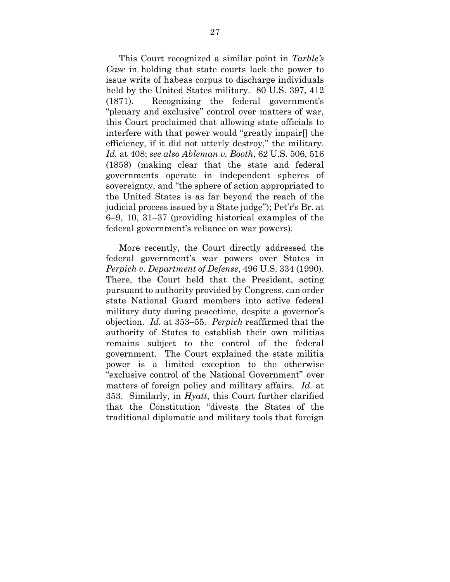<span id="page-32-1"></span><span id="page-32-0"></span>This Court recognized a similar point in *Tarble's Case* in holding that state courts lack the power to issue writs of habeas corpus to discharge individuals held by the United States military. 80 U.S. 397, 412 (1871). Recognizing the federal government's "plenary and exclusive" control over matters of war, this Court proclaimed that allowing state officials to interfere with that power would "greatly impair[] the efficiency, if it did not utterly destroy," the military. *Id.* at 408; *see also Ableman v. Booth*, 62 U.S. 506, 516 (1858) (making clear that the state and federal governments operate in independent spheres of sovereignty, and "the sphere of action appropriated to the United States is as far beyond the reach of the judicial process issued by a State judge"); Pet'r's Br. at 6–9, 10, 31–37 (providing historical examples of the federal government's reliance on war powers).

More recently, the Court directly addressed the federal government's war powers over States in *Perpich v. Department of Defense*, 496 U.S. 334 (1990). There, the Court held that the President, acting pursuant to authority provided by Congress, can order state National Guard members into active federal military duty during peacetime, despite a governor's objection. *Id.* at 353–55. *Perpich* reaffirmed that the authority of States to establish their own militias remains subject to the control of the federal government. The Court explained the state militia power is a limited exception to the otherwise "exclusive control of the National Government" over matters of foreign policy and military affairs. *Id.* at 353. Similarly, in *Hyatt*, this Court further clarified that the Constitution "divests the States of the traditional diplomatic and military tools that foreign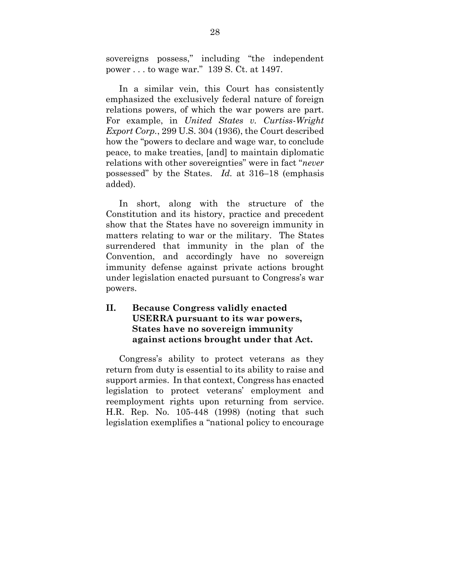sovereigns possess," including "the independent power . . . to wage war." 139 S. Ct. at 1497.

<span id="page-33-0"></span>In a similar vein, this Court has consistently emphasized the exclusively federal nature of foreign relations powers, of which the war powers are part. For example, in *United States v. Curtiss-Wright Export Corp.*, 299 U.S. 304 (1936), the Court described how the "powers to declare and wage war, to conclude peace, to make treaties, [and] to maintain diplomatic relations with other sovereignties" were in fact "*never* possessed" by the States. *Id.* at 316–18 (emphasis added).

In short, along with the structure of the Constitution and its history, practice and precedent show that the States have no sovereign immunity in matters relating to war or the military. The States surrendered that immunity in the plan of the Convention, and accordingly have no sovereign immunity defense against private actions brought under legislation enacted pursuant to Congress's war powers.

## **II. Because Congress validly enacted USERRA pursuant to its war powers, States have no sovereign immunity against actions brought under that Act.**

<span id="page-33-1"></span>Congress's ability to protect veterans as they return from duty is essential to its ability to raise and support armies. In that context, Congress has enacted legislation to protect veterans' employment and reemployment rights upon returning from service. H.R. Rep. No. 105-448 (1998) (noting that such legislation exemplifies a "national policy to encourage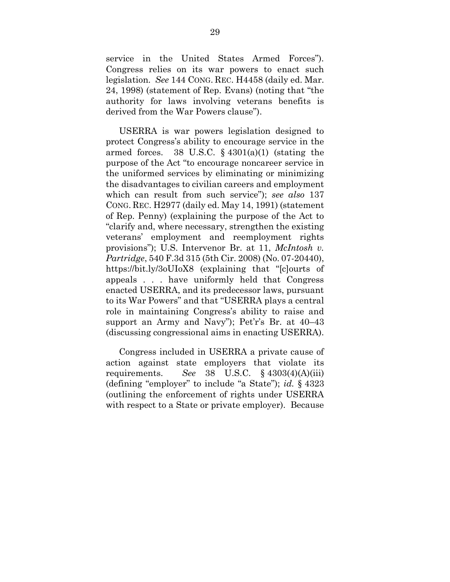<span id="page-34-4"></span>service in the United States Armed Forces"). Congress relies on its war powers to enact such legislation. *See* 144 CONG. REC. H4458 (daily ed. Mar. 24, 1998) (statement of Rep. Evans) (noting that "the authority for laws involving veterans benefits is derived from the War Powers clause").

<span id="page-34-3"></span><span id="page-34-1"></span>USERRA is war powers legislation designed to protect Congress's ability to encourage service in the armed forces. 38 U.S.C.  $\S$  4301(a)(1) (stating the purpose of the Act "to encourage noncareer service in the uniformed services by eliminating or minimizing the disadvantages to civilian careers and employment which can result from such service"); *see also* 137 CONG. REC. H2977 (daily ed. May 14, 1991) (statement of Rep. Penny) (explaining the purpose of the Act to "clarify and, where necessary, strengthen the existing veterans' employment and reemployment rights provisions"); U.S. Intervenor Br. at 11, *McIntosh v. Partridge*, 540 F.3d 315 (5th Cir. 2008) (No. 07-20440), https://bit.ly/3oUIoX8 (explaining that "[c]ourts of appeals . . . have uniformly held that Congress enacted USERRA, and its predecessor laws, pursuant to its War Powers" and that "USERRA plays a central role in maintaining Congress's ability to raise and support an Army and Navy"); Pet'r's Br. at 40–43 (discussing congressional aims in enacting USERRA).

<span id="page-34-2"></span><span id="page-34-0"></span>Congress included in USERRA a private cause of action against state employers that violate its requirements. *See* 38 U.S.C. § 4303(4)(A)(iii) (defining "employer" to include "a State"); *id.* § 4323 (outlining the enforcement of rights under USERRA with respect to a State or private employer). Because